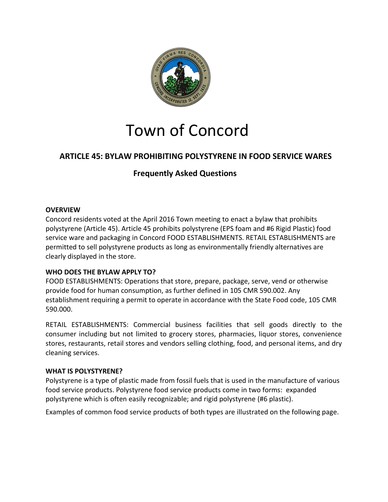

# Town of Concord

# **ARTICLE 45: BYLAW PROHIBITING POLYSTYRENE IN FOOD SERVICE WARES**

# **Frequently Asked Questions**

# **OVERVIEW**

Concord residents voted at the April 2016 Town meeting to enact a bylaw that prohibits polystyrene (Article 45). Article 45 prohibits polystyrene (EPS foam and #6 Rigid Plastic) food service ware and packaging in Concord FOOD ESTABLISHMENTS. RETAIL ESTABLISHMENTS are permitted to sell polystyrene products as long as environmentally friendly alternatives are clearly displayed in the store.

# **WHO DOES THE BYLAW APPLY TO?**

FOOD ESTABLISHMENTS: Operations that store, prepare, package, serve, vend or otherwise provide food for human consumption, as further defined in 105 CMR 590.002. Any establishment requiring a permit to operate in accordance with the State Food code, 105 CMR 590.000.

RETAIL ESTABLISHMENTS: Commercial business facilities that sell goods directly to the consumer including but not limited to grocery stores, pharmacies, liquor stores, convenience stores, restaurants, retail stores and vendors selling clothing, food, and personal items, and dry cleaning services.

# **WHAT IS POLYSTYRENE?**

Polystyrene is a type of plastic made from fossil fuels that is used in the manufacture of various food service products. Polystyrene food service products come in two forms: expanded polystyrene which is often easily recognizable; and rigid polystyrene (#6 plastic).

Examples of common food service products of both types are illustrated on the following page.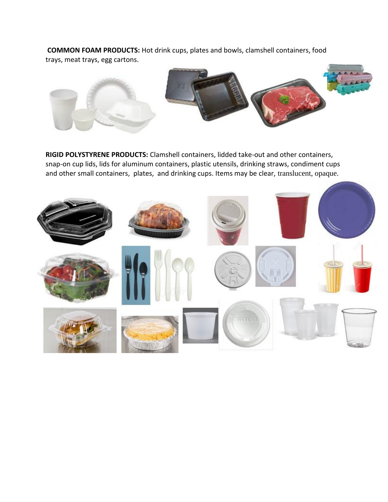**COMMON FOAM PRODUCTS:** Hot drink cups, plates and bowls, clamshell containers, food trays, meat trays, egg cartons.



**RIGID POLYSTYRENE PRODUCTS:** Clamshell containers, lidded take-out and other containers, snap-on cup lids, lids for aluminum containers, plastic utensils, drinking straws, condiment cups and other small containers, plates, and drinking cups. Items may be clear, translucent, opaque.

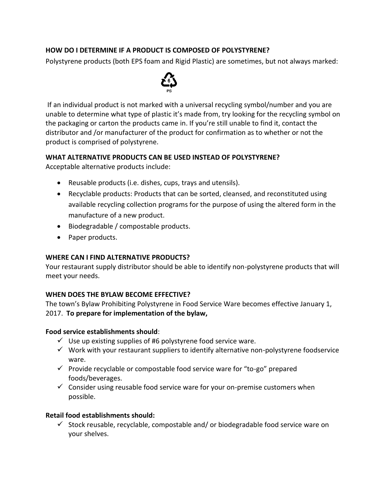# **HOW DO I DETERMINE IF A PRODUCT IS COMPOSED OF POLYSTYRENE?**

Polystyrene products (both EPS foam and Rigid Plastic) are sometimes, but not always marked:



If an individual product is not marked with a universal recycling symbol/number and you are unable to determine what type of plastic it's made from, try looking for the recycling symbol on the packaging or carton the products came in. If you're still unable to find it, contact the distributor and /or manufacturer of the product for confirmation as to whether or not the product is comprised of polystyrene.

#### **WHAT ALTERNATIVE PRODUCTS CAN BE USED INSTEAD OF POLYSTYRENE?**

Acceptable alternative products include:

- Reusable products (i.e. dishes, cups, trays and utensils).
- Recyclable products: Products that can be sorted, cleansed, and reconstituted using available recycling collection programs for the purpose of using the altered form in the manufacture of a new product.
- Biodegradable / compostable products.
- Paper products.

#### **WHERE CAN I FIND ALTERNATIVE PRODUCTS?**

Your restaurant supply distributor should be able to identify non-polystyrene products that will meet your needs.

# **WHEN DOES THE BYLAW BECOME EFFECTIVE?**

The town's Bylaw Prohibiting Polystyrene in Food Service Ware becomes effective January 1, 2017. **To prepare for implementation of the bylaw,**

# **Food service establishments should**:

- $\checkmark$  Use up existing supplies of #6 polystyrene food service ware.
- $\checkmark$  Work with your restaurant suppliers to identify alternative non-polystyrene foodservice ware.
- $\checkmark$  Provide recyclable or compostable food service ware for "to-go" prepared foods/beverages.
- $\checkmark$  Consider using reusable food service ware for your on-premise customers when possible.

# **Retail food establishments should:**

 $\checkmark$  Stock reusable, recyclable, compostable and/ or biodegradable food service ware on your shelves.